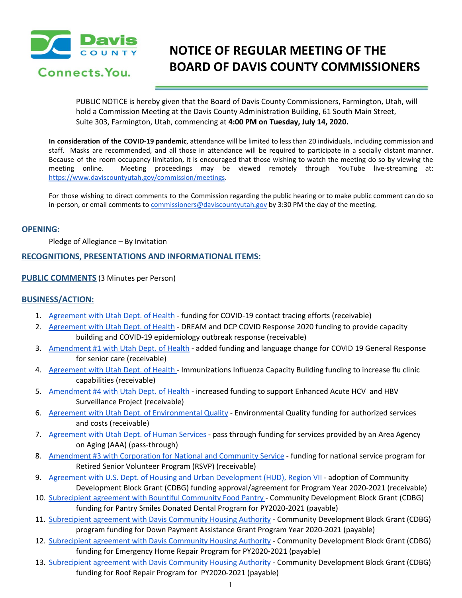

# **NOTICE OF REGULAR MEETING OF THE BOARD OF DAVIS COUNTY COMMISSIONERS**

PUBLIC NOTICE is hereby given that the Board of Davis County Commissioners, Farmington, Utah, will hold a Commission Meeting at the Davis County Administration Building, 61 South Main Street, Suite 303, Farmington, Utah, commencing at **4:00 PM on Tuesday, July 14, 2020.**

**In consideration of the COVID-19 pandemic**, attendance will be limited to less than 20 individuals, including commission and staff. Masks are recommended, and all those in attendance will be required to participate in a socially distant manner. Because of the room occupancy limitation, it is encouraged that those wishing to watch the meeting do so by viewing the meeting online. Meeting proceedings may be viewed remotely through YouTube live-streaming at: <https://www.daviscountyutah.gov/commission/meetings>.

For those wishing to direct comments to the Commission regarding the public hearing or to make public comment can do so in-person, or email comments to [commissioners@daviscountyutah.gov](mailto:commissioners@daviscountyutah.gov) by 3:30 PM the day of the meeting.

#### **OPENING:**

Pledge of Allegiance – By Invitation

#### **RECOGNITIONS, PRESENTATIONS AND INFORMATIONAL ITEMS:**

#### **PUBLIC COMMENTS** (3 Minutes per Person)

### **BUSINESS/ACTION:**

- 1. [Agreement](https://drive.google.com/file/d/1p27u1XP-YuhkyJxqJqMJ0pVyPx8Q3py5/view?usp=drivesdk) with Utah Dept. of Health funding for COVID-19 contact tracing efforts (receivable)
- 2. [Agreement](https://drive.google.com/file/d/1F56hV5R8Krd8DIr0EYsDpRcWGULhgR5y/view?usp=drivesdk) with Utah Dept. of Health DREAM and DCP COVID Response 2020 funding to provide capacity building and COVID-19 epidemiology outbreak response (receivable)
- 3. [Amendment](https://drive.google.com/file/d/1apVrpyer3neAzOij4F7Wx-wK1A0wGByh/view?usp=drivesdk) #1 with Utah Dept. of Health added funding and language change for COVID 19 General Response for senior care (receivable)
- 4. [Agreement](https://drive.google.com/file/d/1MzGyLV2eFqzZiOitEL5v2fsJA5OVP5fE/view?usp=drivesdk) with Utah Dept. of Health Immunizations Influenza Capacity Building funding to increase flu clinic capabilities (receivable)
- 5. [Amendment](https://drive.google.com/file/d/1_0VIDSGJDD8dsRCvLXAbwYR8tJt0351s/view?usp=drivesdk) #4 with Utah Dept. of Health increased funding to support Enhanced Acute HCV and HBV Surveillance Project (receivable)
- 6. Agreement with Utah Dept. of [Environmental](https://drive.google.com/file/d/1Ai5Dfu4tmbzTOR26t1ABPoASR6BkHtSC/view?usp=drivesdk) Quality Environmental Quality funding for authorized services and costs (receivable)
- 7. [Agreement](https://drive.google.com/file/d/17w4qojRvjHntlJro0G39BG46CDikVeb5/view?usp=drivesdk) with Utah Dept. of Human Services pass through funding for services provided by an Area Agency on Aging (AAA) (pass-through)
- 8. [Amendment](https://drive.google.com/file/d/1QcVTdyadm90xVLDp4nLUTIWHE5G83viv/view?usp=drivesdk) #3 with Corporation for National and Community Service funding for national service program for Retired Senior Volunteer Program (RSVP) (receivable)
- 9. Agreement with U.S. Dept. of Housing and Urban [Development](https://drive.google.com/file/d/1XDqL0IrkGwxASD6qmYuejGApPHJobn0M/view?usp=drivesdk) (HUD), Region VII adoption of Community Development Block Grant (CDBG) funding approval/agreement for Program Year 2020-2021 (receivable)
- 10. [Subrecipient](https://drive.google.com/file/d/1C7DFvH_MTGx7-PORBpHerzZ0_WIMpxMa/view?usp=drivesdk) agreement with Bountiful Community Food Pantry Community Development Block Grant (CDBG) funding for Pantry Smiles Donated Dental Program for PY2020-2021 (payable)
- 11. [Subrecipient](https://drive.google.com/file/d/1h6qQPPrDR9_aRnXtZBWPoQHxCagwU-qm/view?usp=drivesdk) agreement with Davis Community Housing Authority Community Development Block Grant (CDBG) program funding for Down Payment Assistance Grant Program Year 2020-2021 (payable)
- 12. [Subrecipient](https://drive.google.com/file/d/1FixugmSo6wa5piTVnv0tGfRQKtDwaXuE/view?usp=drivesdk) agreement with Davis Community Housing Authority Community Development Block Grant (CDBG) funding for Emergency Home Repair Program for PY2020-2021 (payable)
- 13. [Subrecipient](https://drive.google.com/file/d/1WzSPve-zoI5aijqs7DiNZEdyjxQ5H0Nr/view?usp=drivesdk) agreement with Davis Community Housing Authority Community Development Block Grant (CDBG) funding for Roof Repair Program for PY2020-2021 (payable)